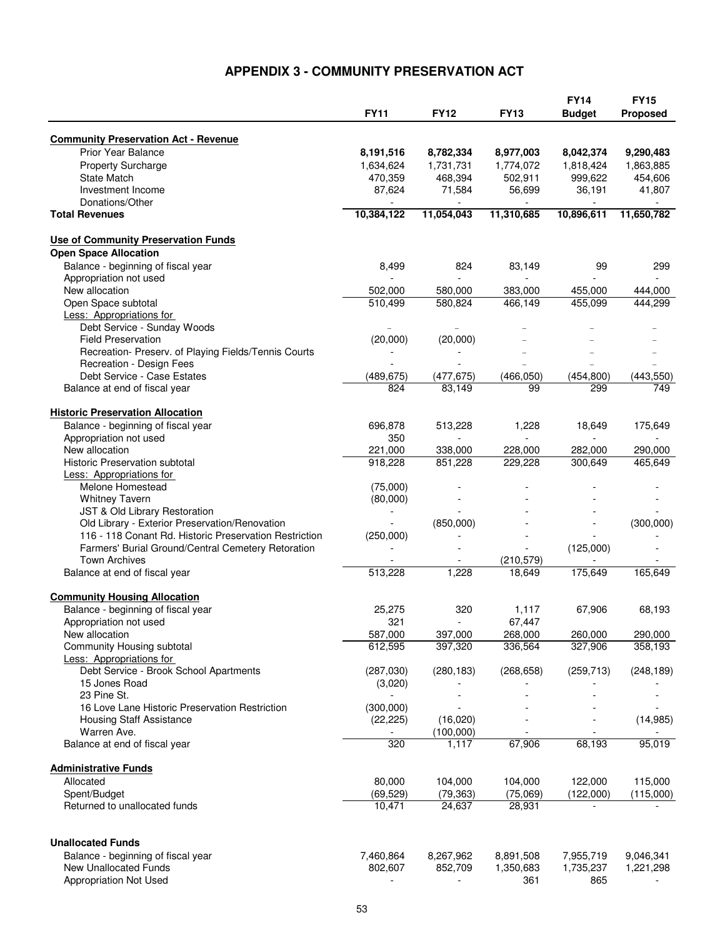## **APPENDIX 3 - COMMUNITY PRESERVATION ACT**

|                                                                           |                      |             | <b>FY13</b>    | <b>FY14</b>   | <b>FY15</b>     |
|---------------------------------------------------------------------------|----------------------|-------------|----------------|---------------|-----------------|
|                                                                           | <b>FY11</b>          | <b>FY12</b> |                | <b>Budget</b> | <b>Proposed</b> |
|                                                                           |                      |             |                |               |                 |
| <b>Community Preservation Act - Revenue</b>                               |                      |             |                |               |                 |
| <b>Prior Year Balance</b>                                                 | 8,191,516            | 8,782,334   | 8,977,003      | 8,042,374     | 9,290,483       |
| <b>Property Surcharge</b><br><b>State Match</b>                           | 1,634,624            | 1,731,731   | 1,774,072      | 1,818,424     | 1,863,885       |
|                                                                           | 470,359              | 468,394     | 502,911        | 999,622       | 454,606         |
| Investment Income<br>Donations/Other                                      | 87,624               | 71,584      | 56,699         | 36,191        | 41,807          |
| <b>Total Revenues</b>                                                     | 10,384,122           | 11,054,043  | 11,310,685     | 10,896,611    | 11,650,782      |
|                                                                           |                      |             |                |               |                 |
| Use of Community Preservation Funds                                       |                      |             |                |               |                 |
| <b>Open Space Allocation</b>                                              |                      |             |                |               |                 |
| Balance - beginning of fiscal year                                        | 8,499                | 824         | 83,149         | 99            | 299             |
| Appropriation not used                                                    |                      |             |                |               |                 |
| New allocation                                                            | 502,000              | 580,000     | 383,000        | 455,000       | 444,000         |
| Open Space subtotal                                                       | 510,499              | 580,824     | 466,149        | 455,099       | 444,299         |
| Less: Appropriations for                                                  |                      |             |                |               |                 |
| Debt Service - Sunday Woods                                               |                      |             |                |               |                 |
| <b>Field Preservation</b>                                                 | (20,000)             | (20,000)    |                |               |                 |
| Recreation- Preserv. of Playing Fields/Tennis Courts                      |                      |             |                |               |                 |
| Recreation - Design Fees                                                  |                      |             |                |               |                 |
| Debt Service - Case Estates                                               | (489, 675)           | (477, 675)  | (466, 050)     | (454, 800)    | (443, 550)      |
| Balance at end of fiscal year                                             | 824                  | 83.149      | 99             | 299           | 749             |
| <b>Historic Preservation Allocation</b>                                   |                      |             |                |               |                 |
| Balance - beginning of fiscal year                                        | 696,878              | 513,228     | 1,228          | 18,649        | 175,649         |
| Appropriation not used                                                    | 350                  |             |                |               |                 |
| New allocation                                                            | 221,000              | 338,000     | 228,000        | 282,000       | 290,000         |
| <b>Historic Preservation subtotal</b>                                     | 918,228              | 851,228     | 229,228        | 300,649       | 465,649         |
| <b>Less: Appropriations for</b>                                           |                      |             |                |               |                 |
| Melone Homestead                                                          | (75,000)             |             |                |               |                 |
| <b>Whitney Tavern</b>                                                     | (80,000)             |             |                |               |                 |
| JST & Old Library Restoration                                             |                      |             |                |               |                 |
| Old Library - Exterior Preservation/Renovation                            |                      | (850,000)   |                |               | (300,000)       |
| 116 - 118 Conant Rd. Historic Preservation Restriction                    | (250,000)            |             |                |               |                 |
| Farmers' Burial Ground/Central Cemetery Retoration                        |                      |             | $\overline{a}$ | (125,000)     |                 |
| <b>Town Archives</b>                                                      |                      |             | (210, 579)     |               |                 |
| Balance at end of fiscal year                                             | 513,228              | 1,228       | 18,649         | 175,649       | 165,649         |
|                                                                           |                      |             |                |               |                 |
| <b>Community Housing Allocation</b>                                       |                      |             |                |               |                 |
| Balance - beginning of fiscal year                                        | 25,275               | 320         | 1,117          | 67,906        | 68,193          |
| Appropriation not used                                                    | 321                  |             | 67,447         |               |                 |
| New allocation                                                            | 587,000              | 397,000     | 268,000        | 260,000       | 290,000         |
| Community Housing subtotal                                                | 612,595              | 397,320     | 336,564        | 327,906       | 358,193         |
| <b>Less: Appropriations for</b><br>Debt Service - Brook School Apartments |                      | (280, 183)  |                |               |                 |
| 15 Jones Road                                                             | (287,030)<br>(3,020) |             | (268, 658)     | (259, 713)    | (248, 189)      |
| 23 Pine St.                                                               |                      |             |                |               |                 |
| 16 Love Lane Historic Preservation Restriction                            | (300,000)            |             |                |               |                 |
| <b>Housing Staff Assistance</b>                                           | (22, 225)            | (16,020)    |                |               | (14, 985)       |
| Warren Ave.                                                               |                      | (100,000)   |                | $\sim$        |                 |
| Balance at end of fiscal year                                             | 320                  | 1,117       | 67,906         | 68,193        | 95,019          |
|                                                                           |                      |             |                |               |                 |
| <b>Administrative Funds</b>                                               |                      |             |                |               |                 |
| Allocated                                                                 | 80,000               | 104,000     | 104,000        | 122,000       | 115,000         |
| Spent/Budget                                                              | (69, 529)            | (79, 363)   | (75,069)       | (122,000)     | (115,000)       |
| Returned to unallocated funds                                             | 10,471               | 24,637      | 28,931         |               |                 |
|                                                                           |                      |             |                |               |                 |
| <b>Unallocated Funds</b>                                                  |                      |             |                |               |                 |
| Balance - beginning of fiscal year                                        | 7,460,864            | 8,267,962   | 8,891,508      | 7,955,719     | 9,046,341       |
| <b>New Unallocated Funds</b>                                              | 802,607              | 852,709     | 1,350,683      | 1,735,237     | 1,221,298       |
| Appropriation Not Used                                                    |                      |             | 361            | 865           |                 |